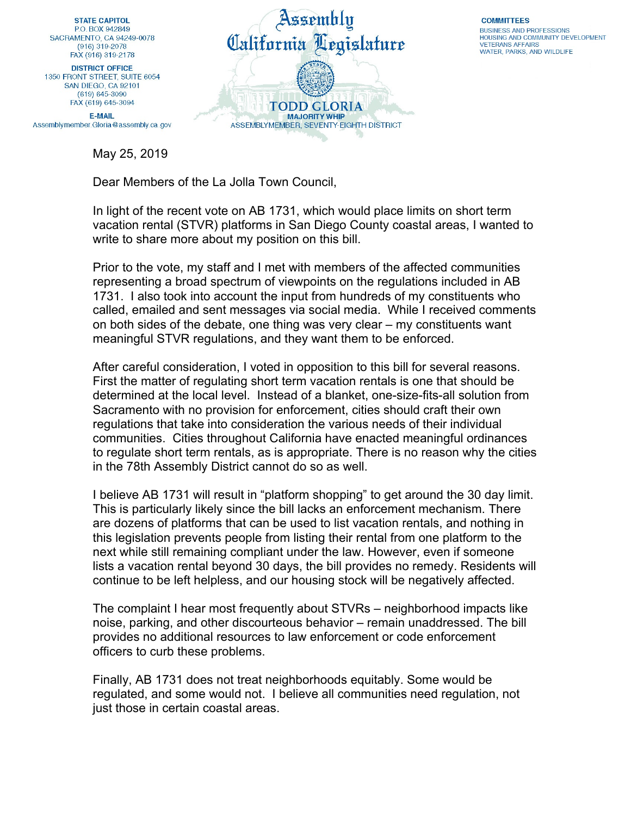**STATE CAPITOL** PO BOX 942849 SACRAMENTO, CA 94249-0078  $(916)$  319-2078 FAX (916) 319-2178

**DISTRICT OFFICE** 1350 FRONT STREET, SUITE 6054 SAN DIEGO, CA 92101 (619) 645-3090 FAX (619) 645-3094

**E-MAIL** Assemblymember.Gloria@assembly.ca.gov

May 25, 2019



**COMMITTEES BUSINESS AND PROFESSIONS** HOUSING AND COMMUNITY DEVELOPMENT **VETERANS AFFAIRS** WATER, PARKS, AND WILDLIFE

Dear Members of the La Jolla Town Council,

In light of the recent vote on AB 1731, which would place limits on short term vacation rental (STVR) platforms in San Diego County coastal areas, I wanted to write to share more about my position on this bill.

Prior to the vote, my staff and I met with members of the affected communities representing a broad spectrum of viewpoints on the regulations included in AB 1731. I also took into account the input from hundreds of my constituents who called, emailed and sent messages via social media. While I received comments on both sides of the debate, one thing was very clear – my constituents want meaningful STVR regulations, and they want them to be enforced.

After careful consideration, I voted in opposition to this bill for several reasons. First the matter of regulating short term vacation rentals is one that should be determined at the local level. Instead of a blanket, one-size-fits-all solution from Sacramento with no provision for enforcement, cities should craft their own regulations that take into consideration the various needs of their individual communities. Cities throughout California have enacted meaningful ordinances to regulate short term rentals, as is appropriate. There is no reason why the cities in the 78th Assembly District cannot do so as well.

I believe AB 1731 will result in "platform shopping" to get around the 30 day limit. This is particularly likely since the bill lacks an enforcement mechanism. There are dozens of platforms that can be used to list vacation rentals, and nothing in this legislation prevents people from listing their rental from one platform to the next while still remaining compliant under the law. However, even if someone lists a vacation rental beyond 30 days, the bill provides no remedy. Residents will continue to be left helpless, and our housing stock will be negatively affected.

The complaint I hear most frequently about STVRs – neighborhood impacts like noise, parking, and other discourteous behavior – remain unaddressed. The bill provides no additional resources to law enforcement or code enforcement officers to curb these problems.

Finally, AB 1731 does not treat neighborhoods equitably. Some would be regulated, and some would not. I believe all communities need regulation, not just those in certain coastal areas.